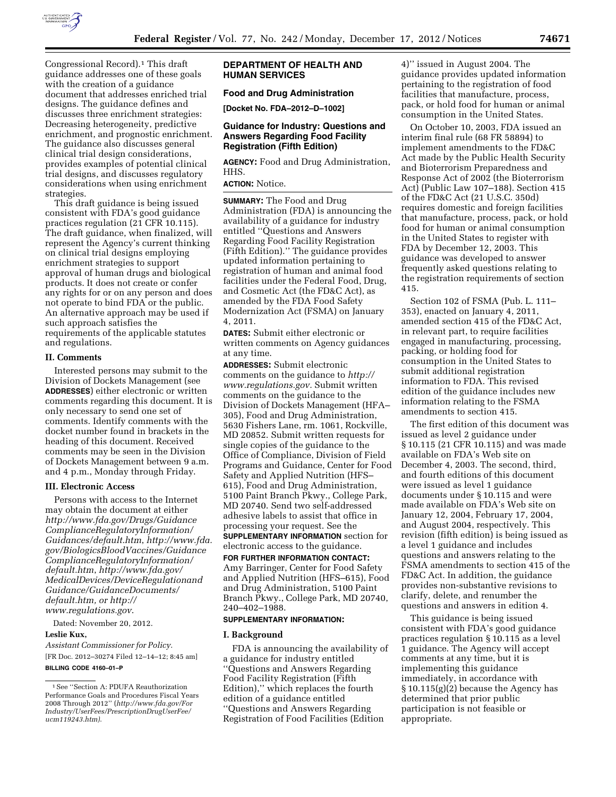

Congressional Record).1 This draft guidance addresses one of these goals with the creation of a guidance document that addresses enriched trial designs. The guidance defines and discusses three enrichment strategies: Decreasing heterogeneity, predictive enrichment, and prognostic enrichment. The guidance also discusses general clinical trial design considerations, provides examples of potential clinical trial designs, and discusses regulatory considerations when using enrichment strategies.

This draft guidance is being issued consistent with FDA's good guidance practices regulation (21 CFR 10.115). The draft guidance, when finalized, will represent the Agency's current thinking on clinical trial designs employing enrichment strategies to support approval of human drugs and biological products. It does not create or confer any rights for or on any person and does not operate to bind FDA or the public. An alternative approach may be used if such approach satisfies the requirements of the applicable statutes and regulations.

#### **II. Comments**

Interested persons may submit to the Division of Dockets Management (see **ADDRESSES**) either electronic or written comments regarding this document. It is only necessary to send one set of comments. Identify comments with the docket number found in brackets in the heading of this document. Received comments may be seen in the Division of Dockets Management between 9 a.m. and 4 p.m., Monday through Friday.

#### **III. Electronic Access**

Persons with access to the Internet may obtain the document at either *[http://www.fda.gov/Drugs/Guidance](http://www.fda.gov/Drugs/GuidanceComplianceRegulatoryInformation/Guidances/default.htm) [ComplianceRegulatoryInformation/](http://www.fda.gov/Drugs/GuidanceComplianceRegulatoryInformation/Guidances/default.htm) [Guidances/default.htm](http://www.fda.gov/Drugs/GuidanceComplianceRegulatoryInformation/Guidances/default.htm)*, *[http://www.fda.](http://www.fda.gov/BiologicsBloodVaccines/GuidanceComplianceRegulatoryInformation/default.htm) [gov/BiologicsBloodVaccines/Guidance](http://www.fda.gov/BiologicsBloodVaccines/GuidanceComplianceRegulatoryInformation/default.htm) [ComplianceRegulatoryInformation/](http://www.fda.gov/BiologicsBloodVaccines/GuidanceComplianceRegulatoryInformation/default.htm) [default.htm](http://www.fda.gov/BiologicsBloodVaccines/GuidanceComplianceRegulatoryInformation/default.htm)*, *[http://www.fda.gov/](http://www.fda.gov/MedicalDevices/DeviceRegulationandGuidance/GuidanceDocuments/default.htm) [MedicalDevices/DeviceRegulationand](http://www.fda.gov/MedicalDevices/DeviceRegulationandGuidance/GuidanceDocuments/default.htm) Guidance/GuidanceDocuments/ [default.htm,](http://www.fda.gov/MedicalDevices/DeviceRegulationandGuidance/GuidanceDocuments/default.htm) or [http://](http://www.regulations.gov)  [www.regulations.gov](http://www.regulations.gov)*.

Dated: November 20, 2012.

# **Leslie Kux,**

*Assistant Commissioner for Policy.*  [FR Doc. 2012–30274 Filed 12–14–12; 8:45 am] **BILLING CODE 4160–01–P** 

# **DEPARTMENT OF HEALTH AND HUMAN SERVICES**

# **Food and Drug Administration**

**[Docket No. FDA–2012–D–1002]** 

#### **Guidance for Industry: Questions and Answers Regarding Food Facility Registration (Fifth Edition)**

**AGENCY:** Food and Drug Administration, HHS.

# **ACTION:** Notice.

**SUMMARY:** The Food and Drug Administration (FDA) is announcing the availability of a guidance for industry entitled ''Questions and Answers Regarding Food Facility Registration (Fifth Edition).'' The guidance provides updated information pertaining to registration of human and animal food facilities under the Federal Food, Drug, and Cosmetic Act (the FD&C Act), as amended by the FDA Food Safety Modernization Act (FSMA) on January 4, 2011.

**DATES:** Submit either electronic or written comments on Agency guidances at any time.

**ADDRESSES:** Submit electronic comments on the guidance to *[http://](http://www.regulations.gov) [www.regulations.gov.](http://www.regulations.gov)* Submit written comments on the guidance to the Division of Dockets Management (HFA– 305), Food and Drug Administration, 5630 Fishers Lane, rm. 1061, Rockville, MD 20852. Submit written requests for single copies of the guidance to the Office of Compliance, Division of Field Programs and Guidance, Center for Food Safety and Applied Nutrition (HFS– 615), Food and Drug Administration, 5100 Paint Branch Pkwy., College Park, MD 20740. Send two self-addressed adhesive labels to assist that office in processing your request. See the **SUPPLEMENTARY INFORMATION** section for electronic access to the guidance.

**FOR FURTHER INFORMATION CONTACT:**  Amy Barringer, Center for Food Safety and Applied Nutrition (HFS–615), Food and Drug Administration, 5100 Paint Branch Pkwy., College Park, MD 20740, 240–402–1988.

## **SUPPLEMENTARY INFORMATION:**

#### **I. Background**

FDA is announcing the availability of a guidance for industry entitled ''Questions and Answers Regarding Food Facility Registration (Fifth Edition),'' which replaces the fourth edition of a guidance entitled ''Questions and Answers Regarding Registration of Food Facilities (Edition

4)'' issued in August 2004. The guidance provides updated information pertaining to the registration of food facilities that manufacture, process, pack, or hold food for human or animal consumption in the United States.

On October 10, 2003, FDA issued an interim final rule (68 FR 58894) to implement amendments to the FD&C Act made by the Public Health Security and Bioterrorism Preparedness and Response Act of 2002 (the Bioterrorism Act) (Public Law 107–188). Section 415 of the FD&C Act (21 U.S.C. 350d) requires domestic and foreign facilities that manufacture, process, pack, or hold food for human or animal consumption in the United States to register with FDA by December 12, 2003. This guidance was developed to answer frequently asked questions relating to the registration requirements of section 415.

Section 102 of FSMA (Pub. L. 111– 353), enacted on January 4, 2011, amended section 415 of the FD&C Act, in relevant part, to require facilities engaged in manufacturing, processing, packing, or holding food for consumption in the United States to submit additional registration information to FDA. This revised edition of the guidance includes new information relating to the FSMA amendments to section 415.

The first edition of this document was issued as level 2 guidance under § 10.115 (21 CFR 10.115) and was made available on FDA's Web site on December 4, 2003. The second, third, and fourth editions of this document were issued as level 1 guidance documents under § 10.115 and were made available on FDA's Web site on January 12, 2004, February 17, 2004, and August 2004, respectively. This revision (fifth edition) is being issued as a level 1 guidance and includes questions and answers relating to the FSMA amendments to section 415 of the FD&C Act. In addition, the guidance provides non-substantive revisions to clarify, delete, and renumber the questions and answers in edition 4.

This guidance is being issued consistent with FDA's good guidance practices regulation § 10.115 as a level 1 guidance. The Agency will accept comments at any time, but it is implementing this guidance immediately, in accordance with § 10.115(g)(2) because the Agency has determined that prior public participation is not feasible or appropriate.

<sup>1</sup>See ''Section A: PDUFA Reauthorization Performance Goals and Procedures Fiscal Years 2008 Through 2012'' (*[http://www.fda.gov/For](http://www.fda.gov/ForIndustry/UserFees/PrescriptionDrugUserFee/ucm119243.htm) [Industry/UserFees/PrescriptionDrugUserFee/](http://www.fda.gov/ForIndustry/UserFees/PrescriptionDrugUserFee/ucm119243.htm) [ucm119243.htm\)](http://www.fda.gov/ForIndustry/UserFees/PrescriptionDrugUserFee/ucm119243.htm)*.